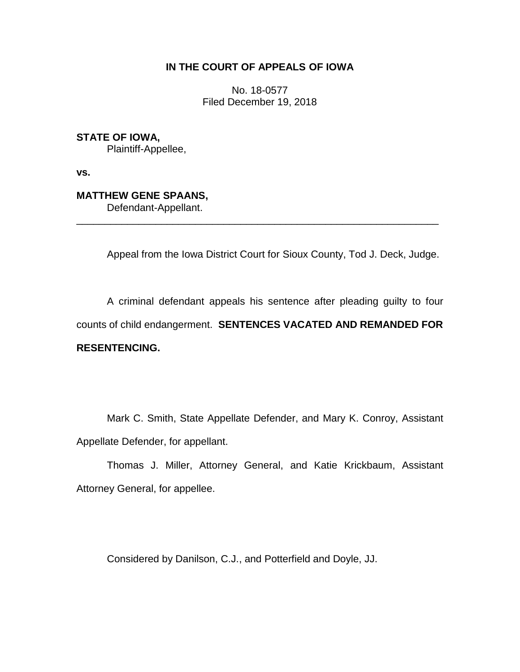# **IN THE COURT OF APPEALS OF IOWA**

No. 18-0577 Filed December 19, 2018

**STATE OF IOWA,** Plaintiff-Appellee,

**vs.**

**MATTHEW GENE SPAANS,**

Defendant-Appellant.

Appeal from the Iowa District Court for Sioux County, Tod J. Deck, Judge.

\_\_\_\_\_\_\_\_\_\_\_\_\_\_\_\_\_\_\_\_\_\_\_\_\_\_\_\_\_\_\_\_\_\_\_\_\_\_\_\_\_\_\_\_\_\_\_\_\_\_\_\_\_\_\_\_\_\_\_\_\_\_\_\_

A criminal defendant appeals his sentence after pleading guilty to four counts of child endangerment. **SENTENCES VACATED AND REMANDED FOR RESENTENCING.**

Mark C. Smith, State Appellate Defender, and Mary K. Conroy, Assistant Appellate Defender, for appellant.

Thomas J. Miller, Attorney General, and Katie Krickbaum, Assistant Attorney General, for appellee.

Considered by Danilson, C.J., and Potterfield and Doyle, JJ.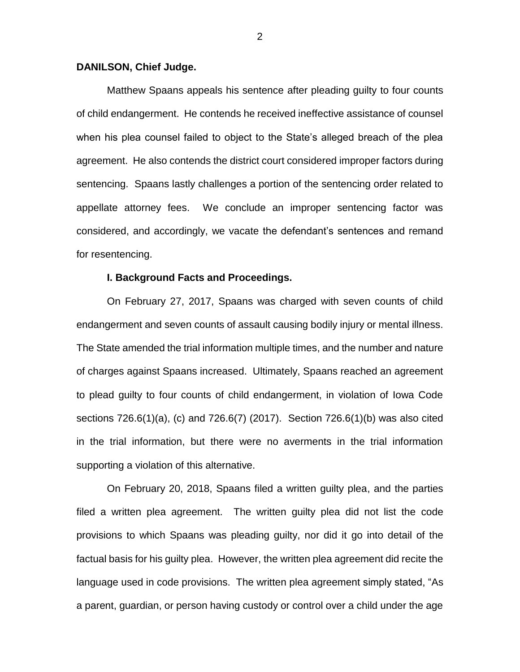### **DANILSON, Chief Judge.**

Matthew Spaans appeals his sentence after pleading guilty to four counts of child endangerment. He contends he received ineffective assistance of counsel when his plea counsel failed to object to the State's alleged breach of the plea agreement. He also contends the district court considered improper factors during sentencing. Spaans lastly challenges a portion of the sentencing order related to appellate attorney fees. We conclude an improper sentencing factor was considered, and accordingly, we vacate the defendant's sentences and remand for resentencing.

### **I. Background Facts and Proceedings.**

On February 27, 2017, Spaans was charged with seven counts of child endangerment and seven counts of assault causing bodily injury or mental illness. The State amended the trial information multiple times, and the number and nature of charges against Spaans increased. Ultimately, Spaans reached an agreement to plead guilty to four counts of child endangerment, in violation of Iowa Code sections 726.6(1)(a), (c) and 726.6(7) (2017). Section 726.6(1)(b) was also cited in the trial information, but there were no averments in the trial information supporting a violation of this alternative.

On February 20, 2018, Spaans filed a written guilty plea, and the parties filed a written plea agreement. The written guilty plea did not list the code provisions to which Spaans was pleading guilty, nor did it go into detail of the factual basis for his guilty plea. However, the written plea agreement did recite the language used in code provisions. The written plea agreement simply stated, "As a parent, guardian, or person having custody or control over a child under the age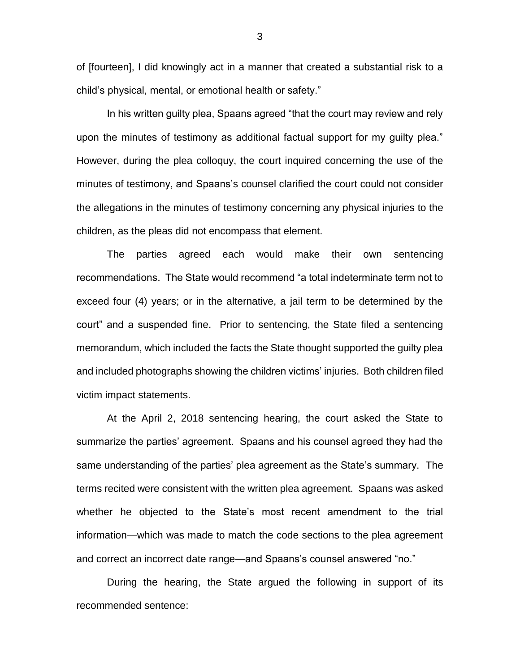of [fourteen], I did knowingly act in a manner that created a substantial risk to a child's physical, mental, or emotional health or safety."

In his written guilty plea, Spaans agreed "that the court may review and rely upon the minutes of testimony as additional factual support for my guilty plea." However, during the plea colloquy, the court inquired concerning the use of the minutes of testimony, and Spaans's counsel clarified the court could not consider the allegations in the minutes of testimony concerning any physical injuries to the children, as the pleas did not encompass that element.

The parties agreed each would make their own sentencing recommendations. The State would recommend "a total indeterminate term not to exceed four (4) years; or in the alternative, a jail term to be determined by the court" and a suspended fine. Prior to sentencing, the State filed a sentencing memorandum, which included the facts the State thought supported the guilty plea and included photographs showing the children victims' injuries. Both children filed victim impact statements.

At the April 2, 2018 sentencing hearing, the court asked the State to summarize the parties' agreement. Spaans and his counsel agreed they had the same understanding of the parties' plea agreement as the State's summary. The terms recited were consistent with the written plea agreement. Spaans was asked whether he objected to the State's most recent amendment to the trial information—which was made to match the code sections to the plea agreement and correct an incorrect date range—and Spaans's counsel answered "no."

During the hearing, the State argued the following in support of its recommended sentence:

3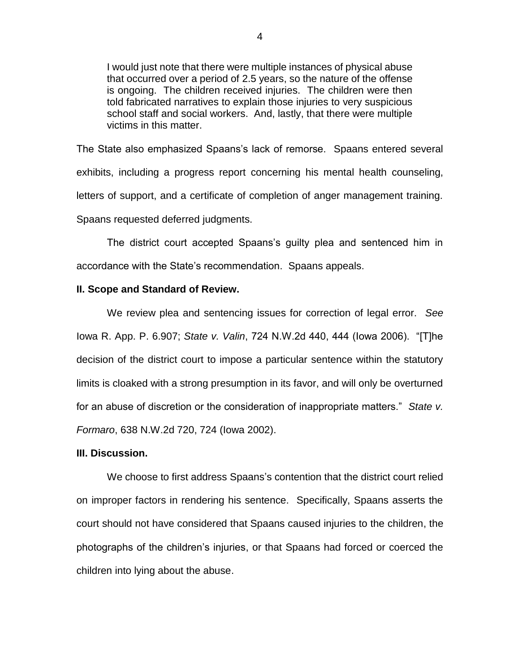I would just note that there were multiple instances of physical abuse that occurred over a period of 2.5 years, so the nature of the offense is ongoing. The children received injuries. The children were then told fabricated narratives to explain those injuries to very suspicious school staff and social workers. And, lastly, that there were multiple victims in this matter.

The State also emphasized Spaans's lack of remorse. Spaans entered several exhibits, including a progress report concerning his mental health counseling, letters of support, and a certificate of completion of anger management training. Spaans requested deferred judgments.

The district court accepted Spaans's guilty plea and sentenced him in accordance with the State's recommendation. Spaans appeals.

### **II. Scope and Standard of Review.**

We review plea and sentencing issues for correction of legal error. *See*  Iowa R. App. P. 6.907; *State v. Valin*, 724 N.W.2d 440, 444 (Iowa 2006). "[T]he decision of the district court to impose a particular sentence within the statutory limits is cloaked with a strong presumption in its favor, and will only be overturned for an abuse of discretion or the consideration of inappropriate matters." *State v. Formaro*, 638 N.W.2d 720, 724 (Iowa 2002).

## **III. Discussion.**

We choose to first address Spaans's contention that the district court relied on improper factors in rendering his sentence. Specifically, Spaans asserts the court should not have considered that Spaans caused injuries to the children, the photographs of the children's injuries, or that Spaans had forced or coerced the children into lying about the abuse.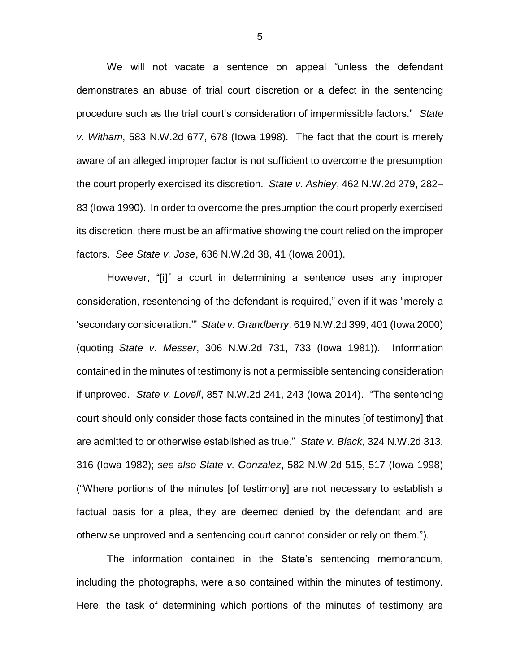We will not vacate a sentence on appeal "unless the defendant demonstrates an abuse of trial court discretion or a defect in the sentencing procedure such as the trial court's consideration of impermissible factors." *State v. Witham*, 583 N.W.2d 677, 678 (Iowa 1998). The fact that the court is merely aware of an alleged improper factor is not sufficient to overcome the presumption the court properly exercised its discretion. *State v. Ashley*, 462 N.W.2d 279, 282– 83 (Iowa 1990). In order to overcome the presumption the court properly exercised its discretion, there must be an affirmative showing the court relied on the improper factors. *See State v. Jose*, 636 N.W.2d 38, 41 (Iowa 2001).

However, "[i]f a court in determining a sentence uses any improper consideration, resentencing of the defendant is required," even if it was "merely a 'secondary consideration.'" *State v. Grandberry*, 619 N.W.2d 399, 401 (Iowa 2000) (quoting *State v. Messer*, 306 N.W.2d 731, 733 (Iowa 1981)). Information contained in the minutes of testimony is not a permissible sentencing consideration if unproved. *State v. Lovell*, 857 N.W.2d 241, 243 (Iowa 2014). "The sentencing court should only consider those facts contained in the minutes [of testimony] that are admitted to or otherwise established as true." *State v. Black*, 324 N.W.2d 313, 316 (Iowa 1982); *see also State v. Gonzalez*, 582 N.W.2d 515, 517 (Iowa 1998) ("Where portions of the minutes [of testimony] are not necessary to establish a factual basis for a plea, they are deemed denied by the defendant and are otherwise unproved and a sentencing court cannot consider or rely on them.").

The information contained in the State's sentencing memorandum, including the photographs, were also contained within the minutes of testimony. Here, the task of determining which portions of the minutes of testimony are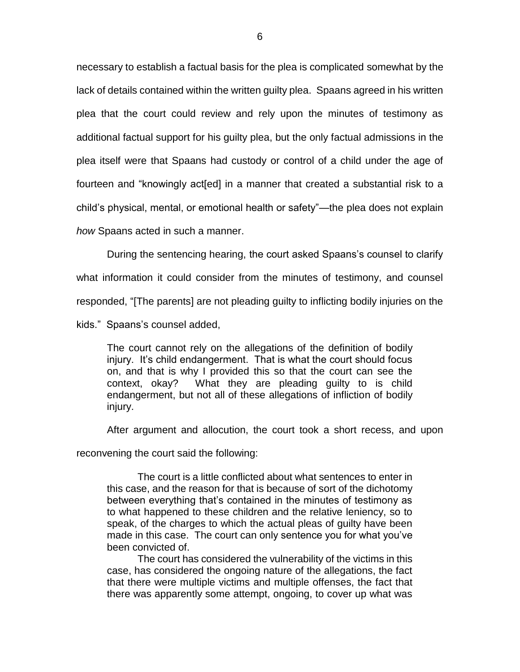necessary to establish a factual basis for the plea is complicated somewhat by the lack of details contained within the written guilty plea. Spaans agreed in his written plea that the court could review and rely upon the minutes of testimony as additional factual support for his guilty plea, but the only factual admissions in the plea itself were that Spaans had custody or control of a child under the age of fourteen and "knowingly act[ed] in a manner that created a substantial risk to a child's physical, mental, or emotional health or safety"—the plea does not explain *how* Spaans acted in such a manner.

During the sentencing hearing, the court asked Spaans's counsel to clarify what information it could consider from the minutes of testimony, and counsel responded, "[The parents] are not pleading guilty to inflicting bodily injuries on the kids." Spaans's counsel added,

The court cannot rely on the allegations of the definition of bodily injury. It's child endangerment. That is what the court should focus on, and that is why I provided this so that the court can see the context, okay? What they are pleading guilty to is child endangerment, but not all of these allegations of infliction of bodily injury.

After argument and allocution, the court took a short recess, and upon

reconvening the court said the following:

The court is a little conflicted about what sentences to enter in this case, and the reason for that is because of sort of the dichotomy between everything that's contained in the minutes of testimony as to what happened to these children and the relative leniency, so to speak, of the charges to which the actual pleas of guilty have been made in this case. The court can only sentence you for what you've been convicted of.

The court has considered the vulnerability of the victims in this case, has considered the ongoing nature of the allegations, the fact that there were multiple victims and multiple offenses, the fact that there was apparently some attempt, ongoing, to cover up what was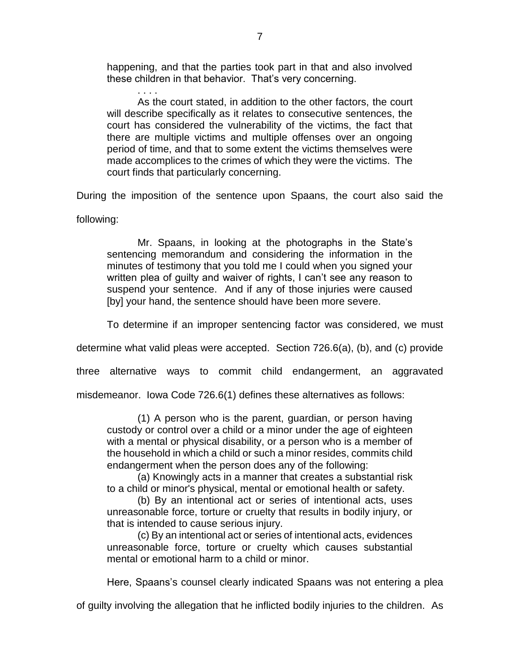happening, and that the parties took part in that and also involved these children in that behavior. That's very concerning.

. . . . As the court stated, in addition to the other factors, the court will describe specifically as it relates to consecutive sentences, the court has considered the vulnerability of the victims, the fact that there are multiple victims and multiple offenses over an ongoing period of time, and that to some extent the victims themselves were made accomplices to the crimes of which they were the victims. The court finds that particularly concerning.

During the imposition of the sentence upon Spaans, the court also said the

following:

Mr. Spaans, in looking at the photographs in the State's sentencing memorandum and considering the information in the minutes of testimony that you told me I could when you signed your written plea of guilty and waiver of rights, I can't see any reason to suspend your sentence. And if any of those injuries were caused [by] your hand, the sentence should have been more severe.

To determine if an improper sentencing factor was considered, we must

determine what valid pleas were accepted. Section 726.6(a), (b), and (c) provide

three alternative ways to commit child endangerment, an aggravated

misdemeanor. Iowa Code 726.6(1) defines these alternatives as follows:

(1) A person who is the parent, guardian, or person having custody or control over a child or a minor under the age of eighteen with a mental or physical disability, or a person who is a member of the household in which a child or such a minor resides, commits child endangerment when the person does any of the following:

(a) Knowingly acts in a manner that creates a substantial risk to a child or minor's physical, mental or emotional health or safety.

(b) By an intentional act or series of intentional acts, uses unreasonable force, torture or cruelty that results in bodily injury, or that is intended to cause serious injury.

(c) By an intentional act or series of intentional acts, evidences unreasonable force, torture or cruelty which causes substantial mental or emotional harm to a child or minor.

Here, Spaans's counsel clearly indicated Spaans was not entering a plea

of guilty involving the allegation that he inflicted bodily injuries to the children. As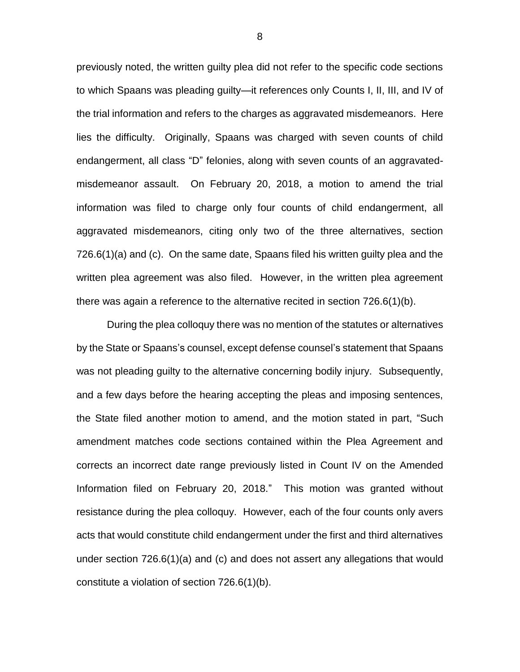previously noted, the written guilty plea did not refer to the specific code sections to which Spaans was pleading guilty—it references only Counts I, II, III, and IV of the trial information and refers to the charges as aggravated misdemeanors. Here lies the difficulty. Originally, Spaans was charged with seven counts of child endangerment, all class "D" felonies, along with seven counts of an aggravatedmisdemeanor assault. On February 20, 2018, a motion to amend the trial information was filed to charge only four counts of child endangerment, all aggravated misdemeanors, citing only two of the three alternatives, section 726.6(1)(a) and (c). On the same date, Spaans filed his written guilty plea and the written plea agreement was also filed. However, in the written plea agreement there was again a reference to the alternative recited in section 726.6(1)(b).

During the plea colloquy there was no mention of the statutes or alternatives by the State or Spaans's counsel, except defense counsel's statement that Spaans was not pleading guilty to the alternative concerning bodily injury. Subsequently, and a few days before the hearing accepting the pleas and imposing sentences, the State filed another motion to amend, and the motion stated in part, "Such amendment matches code sections contained within the Plea Agreement and corrects an incorrect date range previously listed in Count IV on the Amended Information filed on February 20, 2018." This motion was granted without resistance during the plea colloquy. However, each of the four counts only avers acts that would constitute child endangerment under the first and third alternatives under section 726.6(1)(a) and (c) and does not assert any allegations that would constitute a violation of section 726.6(1)(b).

8